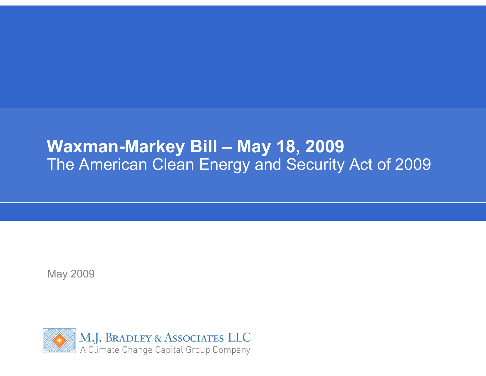# **Waxman-Markey Bill – May 18, 2009**  The American Clean Energy and Security Act of 2009

May 2009

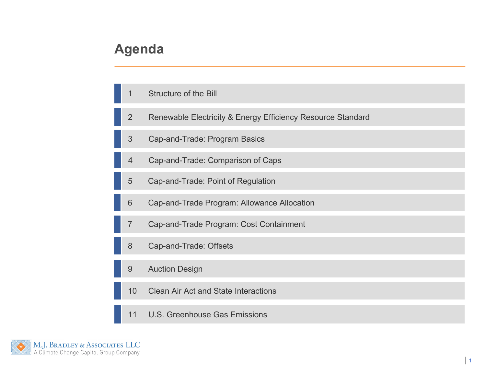## **Agenda**

- 1Structure of the Bill
- 2Renewable Electricity & Energy Efficiency Resource Standard
- 3Cap-and-Trade: Program Basics
- 4Cap-and-Trade: Comparison of Caps
- 5Cap-and-Trade: Point of Regulation
- 6Cap-and-Trade Program: Allowance Allocation
- 7Cap-and-Trade Program: Cost Containment
- 8Cap-and-Trade: Offsets
- 9Auction Design
- 10Clean Air Act and State Interactions
- 11U.S. Greenhouse Gas Emissions

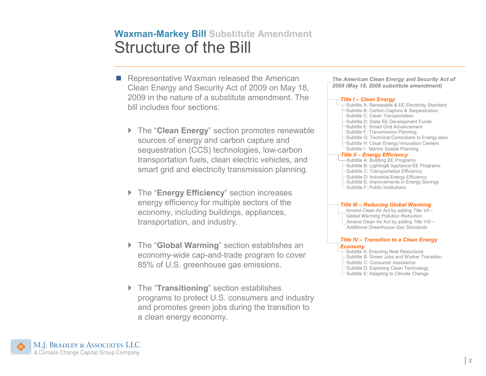#### **Waxman-Markey Bill Substitute Amendment**Structure of the Bill

- Representative Waxman released the American<br>Clear Frassy and Sacurity Act of 2000 an May 4 Clean Energy and Security Act of 2009 on May 18, 2009 in the nature of a substitute amendment. The bill includes four sections:
	- ▶ The "**Clean Energy**" section promotes renewable sources of energy and carbon capture and sequestration (CCS) technologies, low-carbon transportation fuels, clean electric vehicles, and smart grid and electricity transmission planning.
	- The "**Energy Efficiency**" section increases energy efficiency for multiple sectors of the economy, including buildings, appliances, transportation, and industry.
	- The "**Global Warming**" section establishes an economy-wide cap-and-trade program to cover 85% of U.S. greenhouse gas emissions.
	- The "**Transitioning**" section establishes programs to protect U.S. consumers and industry and promotes green jobs during the transition to a clean energy economy.

| The American Clean Energy and Security Act of |  |
|-----------------------------------------------|--|
| 2009 (May 18, 2008 substitute amendment)      |  |

#### *Title I – Clean Energy*

Subtitle A: Renewable & EE Electricity StandardSubtitle B: Carbon Capture & SequestrationSubtitle C: Clean Transportation Subtitle D: State EE Development FundsSubtitle E: Smart Grid AdvancementSubtitle F: Transmission Planning Subtitle G: Technical Corrections to Energy lawsSubtitle H: Clean Energy Innovation CentersSubtitle I: Marine Spatial Planning*Title II – Energy Efficiency* Subtitle A: Building EE Programs Subtitle B: Lighting& Appliance EE ProgramsSubtitle C: Transportation Efficiency Subtitle D: Industrial Energy Efficiency Subtitle E: Improvements in Energy SavingsSubtitle F: Public Institutions

#### *Title III – Reducing Global Warming*

Amend Clean Air Act by adding *Title VII –Global Warming Pollution Reduction* Amend Clean Air Act by adding *Title VIII –Additional Greenhouse Gas Standards*

#### *Title IV – Transition to a Clean Energy Economy*

Subtitle A: Ensuring Real Reductions

Subtitle B: Green Jobs and Worker Transition

Subtitle C: Consumer Assistance

 Subtitle D: Exploring Clean TechnologySubtitle E: Adapting to Climate Change

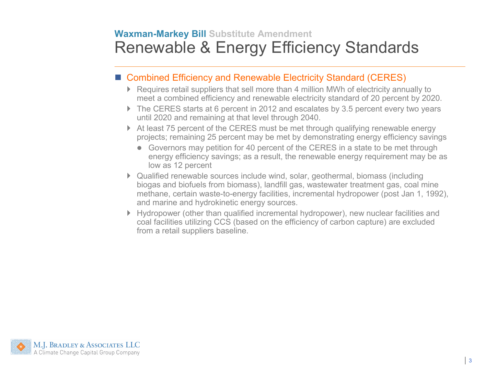## **Waxman-Markey Bill Substitute Amendment**Renewable & Energy Efficiency Standards

## ■ Combined Efficiency and Renewable Electricity Standard (CERES)

- Requires retail suppliers that sell more than 4 million MWh of electricity annually to<br>most a combined efficiency and renovable electricity standard of 20 percent by 200 meet a combined efficiency and renewable electricity standard of 20 percent by 2020.
- The CERES starts at 6 percent in 2012 and escalates by 3.5 percent every two years until 2020 and remaining at that level through 2040.
- At least 75 percent of the CERES must be met through qualifying renewable energy projects; remaining 25 percent may be met by demonstrating energy efficiency savings
	- Governors may petition for 40 percent of the CERES in a state to be met through approved figures are a result, the repovable energy requirement may be a energy efficiency savings; as a result, the renewable energy requirement may be as low as 12 percent
- Qualified renewable sources include wind, solar, geothermal, biomass (including biogas and biofuels from biomass), landfill gas, wastewater treatment gas, coal mine methane, certain waste-to-energy facilities, incremental hydropower (post Jan 1, 1992), and marine and hydrokinetic energy sources.
- Hydropower (other than qualified incremental hydropower), new nuclear facilities and coal facilities utilizing CCS (based on the efficiency of carbon capture) are excluded from a retail suppliers baseline.

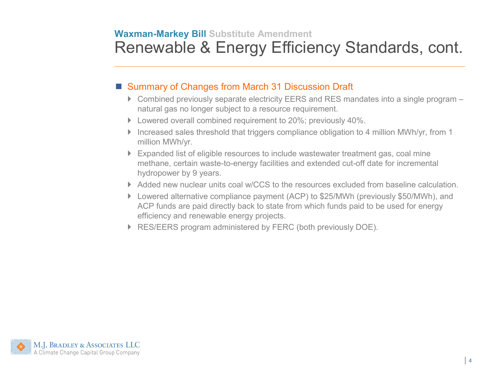### **Waxman-Markey Bill Substitute Amendment**Renewable & Energy Efficiency Standards, cont.

# ■ Summary of Changes from March 31 Discussion Draft

- ▶ Combined previously separate electricity EERS and RES mandates into a single program natural gas no longer subject to a resource requirement.
- ▶ Lowered overall combined requirement to 20%; previously 40%.
- Increased sales threshold that triggers compliance obligation to 4 million MWh/yr, from 1 million MWh/yr.
- Expanded list of eligible resources to include wastewater treatment gas, coal mine methane, certain waste-to-energy facilities and extended cut-off date for incremental hydropower by 9 years.
- ▶ Added new nuclear units coal w/CCS to the resources excluded from baseline calculation.
- Lowered alternative compliance payment (ACP) to \$25/MWh (previously \$50/MWh), and ACP funds are paid directly back to state from which funds paid to be used for energy efficiency and renewable energy projects.
- ▶ RES/EERS program administered by FERC (both previously DOE).

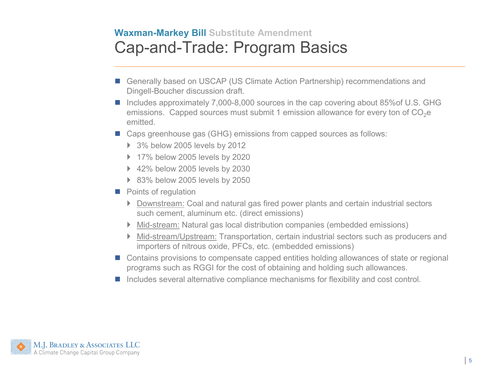### **Waxman-Markey Bill Substitute Amendment**Cap-and-Trade: Program Basics

- Generally based on USCAP (US Climate Action Partnership) recommendations and<br>Ringell Revelser discussion draft Dingell-Boucher discussion draft.
- Includes approximately 7,000-8,000 sources in the cap covering about 85%of U.S. GHG emissions. Capped sources must submit 1 emission allowance for every ton of  $CO<sub>2</sub>e$ emitted.
- Caps greenhouse gas (GHG) emissions from capped sources as follows:
	- 3% below 2005 levels by 2012
	- ▶ 17% below 2005 levels by 2020
	- ▶ 42% below 2005 levels by 2030
	- ▶ 83% below 2005 levels by 2050
- **Points of regulation** 
	- ▶ Downstream: Coal and natural gas fired power plants and certain industrial sectors such cement, aluminum etc. (direct emissions)
	- ▶ Mid-stream: Natural gas local distribution companies (embedded emissions)
	- ▶ Mid-stream/Upstream: Transportation, certain industrial sectors such as producers and importers of nitrous oxide, PFCs, etc. (embedded emissions)
- Contains provisions to compensate capped entities holding allowances of state or regional programs such as RGGI for the cost of obtaining and holding such allowances.
- Includes several alternative compliance mechanisms for flexibility and cost control.

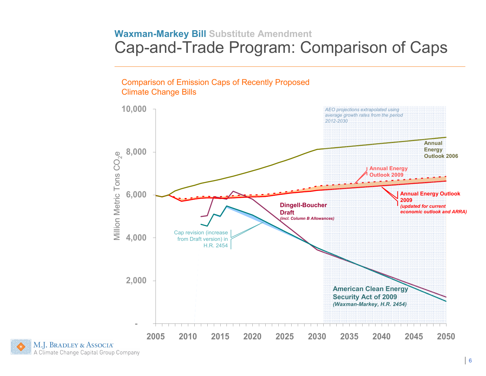#### **Waxman-Markey Bill Substitute Amendment**Cap-and-Trade Program: Comparison of Caps

Comparison of Emission Caps of Recently Proposed Climate Change Bills

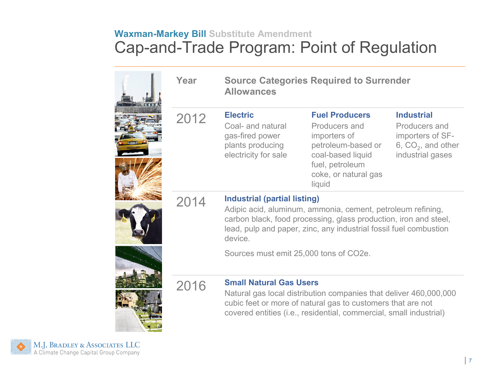## **Waxman-Markey Bill Substitute Amendment**Cap-and-Trade Program: Point of Regulation

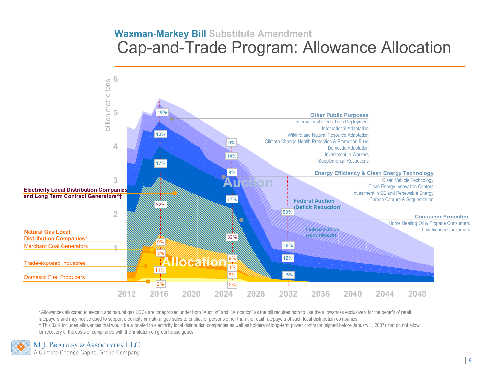#### **Waxman-Markey Bill Substitute Amendment**Cap-and-Trade Program: Allowance Allocation



*\** Allowances allocated to electric and natural gas LDCs are categorized under both "Auction" and "Allocation" as the bill requires both to use the allowances exclusively for the benefit of retail ratepayers and may not be used to support electricity or natural gas sales to entities or persons other than the retail ratepayers of such local distribution companies. † This 32% includes allowances that would be allocated to electricity local distribution companies as well as holders of long-term power contracts (signed before January 1, 2007) that do not allow for recovery of the costs of compliance with the limitation on greenhouse gases.

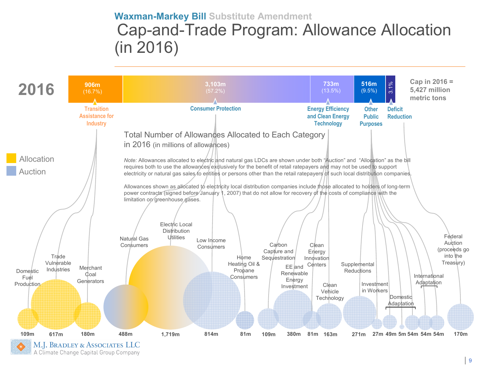## **Waxman-Markey Bill Substitute Amendment** Cap-and-Trade Program: Allowance Allocation(in 2016)

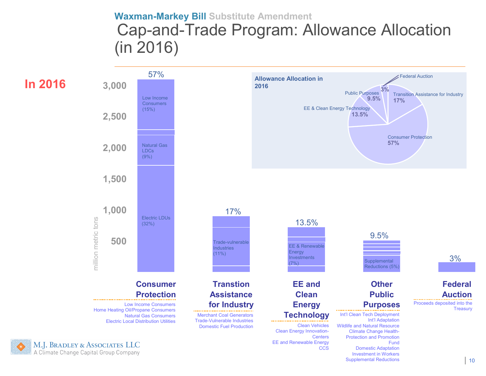## **Waxman-Markey Bill Substitute Amendment** Cap-and-Trade Program: Allowance Allocation(in 2016)

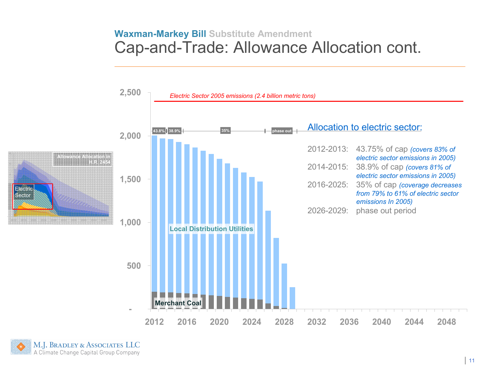#### **Waxman-Markey Bill Substitute Amendment**Cap-and-Trade: Allowance Allocation cont.



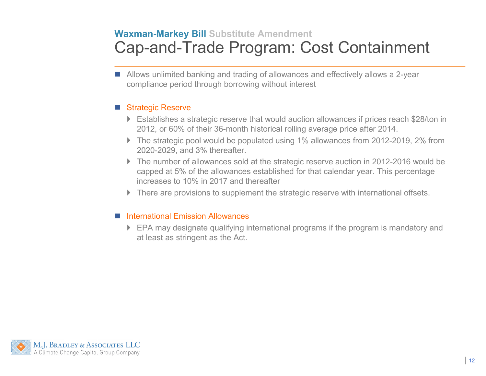## **Waxman-Markey Bill Substitute Amendment**Cap-and-Trade Program: Cost Containment

■ Allows unlimited banking and trading of allowances and effectively allows a 2-year compliance period through borrowing without interest

#### Strategic Reserve

- Establishes a strategic reserve that would auction allowances if prices reach \$28/ton in<br>2012. av 2014. 2012, or 60% of their 36-month historical rolling average price after 2014.
- ▶ The strategic pool would be populated using 1% allowances from 2012-2019, 2% from 2020-2029, and 3% thereafter.
- The number of allowances sold at the strategic reserve auction in 2012-2016 would be capped at 5% of the allowances established for that calendar year. This percentage increases to 10% in 2017 and thereafter
- ▶ There are provisions to supplement the strategic reserve with international offsets.

#### ■ International Emission Allowances

 EPA may designate qualifying international programs if the program is mandatory and at least as stringent as the Act.

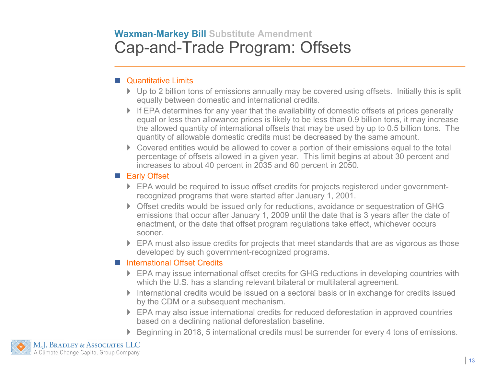## **Waxman-Markey Bill Substitute Amendment**Cap-and-Trade Program: Offsets

#### **Quantitative Limits**

- ▶ Up to 2 billion tons of emissions annually may be covered using offsets. Initially this is split equally between domestic and international credits.
- If EPA determines for any year that the availability of domestic offsets at prices generally<br>equal or lose than ellowance prices is likely to be lose than 0.0 billion tons, it may increase equal or less than allowance prices is likely to be less than 0.9 billion tons, it may increase the allowed quantity of international offsets that may be used by up to 0.5 billion tons. The quantity of allowable domestic credits must be decreased by the same amount.
- ▶ Covered entities would be allowed to cover a portion of their emissions equal to the total percentage of offsets allowed in a given year. This limit begins at about 30 percent and increases to about 40 percent in 2035 and 60 percent in 2050.

#### **Early Offset**

- ▶ EPA would be required to issue offset credits for projects registered under governmentrecognized programs that were started after January 1, 2001.
- Offset credits would be issued only for reductions, avoidance or sequestration of GHG emissions that occur after January 1, 2009 until the date that is 3 years after the date of enactment, or the date that offset program regulations take effect, whichever occurs sooner.
- ▶ EPA must also issue credits for projects that meet standards that are as vigorous as those developed by such government-recognized programs.

#### ■ International Offset Credits

- EPA may issue international offset credits for GHG reductions in developing countries with<br>which the U.S. has a standing relevant bilateral or multilateral agreement which the U.S. has a standing relevant bilateral or multilateral agreement.
- International credits would be issued on a sectoral basis or in exchange for credits issued by the CDM or a subsequent mechanism.
- ▶ EPA may also issue international credits for reduced deforestation in approved countries based on a declining national deforestation baseline.
- ▶ Beginning in 2018, 5 international credits must be surrender for every 4 tons of emissions.

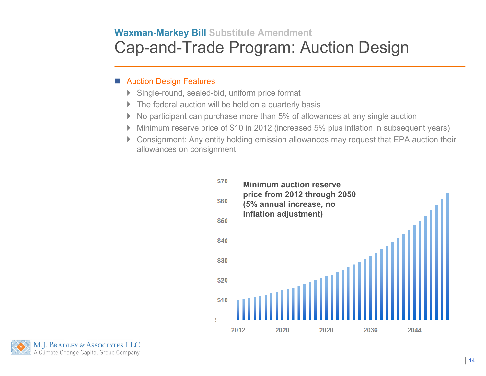## **Waxman-Markey Bill Substitute Amendment**Cap-and-Trade Program: Auction Design

#### ■ Auction Design Features

- Single-round, sealed-bid, uniform price format
- $\blacktriangleright$ The federal auction will be held on a quarterly basis
- $\blacktriangleright$ No participant can purchase more than 5% of allowances at any single auction
- $\blacktriangleright$ Minimum reserve price of \$10 in 2012 (increased 5% plus inflation in subsequent years)
- $\blacktriangleright$  Consignment: Any entity holding emission allowances may request that EPA auction their allowances on consignment.



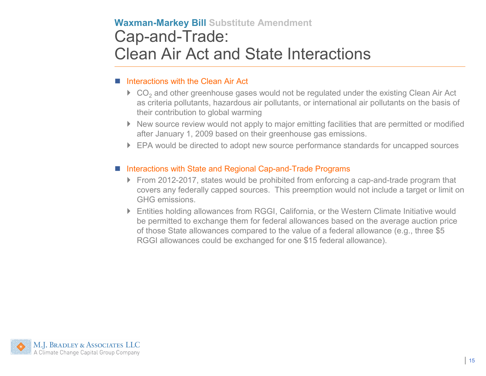# **Waxman-Markey Bill Substitute Amendment**Cap-and-Trade: Clean Air Act and State Interactions

#### **Interactions with the Clean Air Act**

- $\triangleright$  CO<sub>2</sub> and other greenhouse gases would not be regulated under the existing Clean Air Act as criteria pollutants, hazardous air pollutants, or international air pollutants on the basis of their contribution to global warming
- New source review would not apply to major emitting facilities that are permitted or modified after January 1, 2009 based on their greenhouse gas emissions.
- ▶ EPA would be directed to adopt new source performance standards for uncapped sources

#### ■ Interactions with State and Regional Cap-and-Trade Programs

- From 2012-2017, states would be prohibited from enforcing a cap-and-trade program that covers any federally capped sources. This preemption would not include a target or limit on GHG emissions.
- Entities holding allowances from RGGI, California, or the Western Climate Initiative would be permitted to exchange them for federal allowances based on the average auction price of those State allowances compared to the value of a federal allowance (e.g., three \$5 RGGI allowances could be exchanged for one \$15 federal allowance).

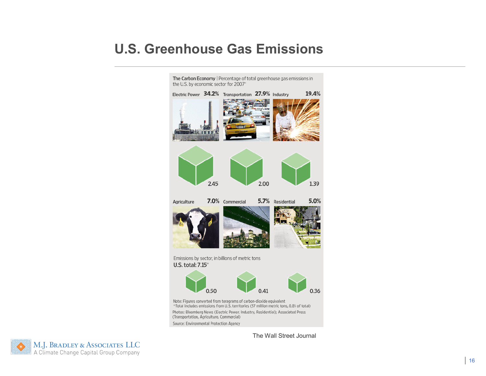## **U.S. Greenhouse Gas Emissions**



The Wall Street Journal